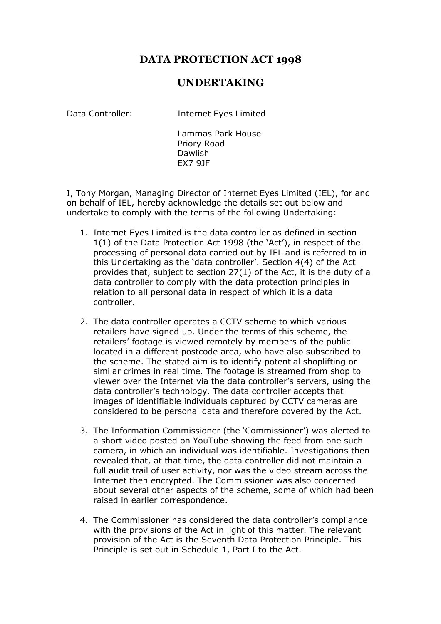## **DATA PROTECTION ACT 1998**

## **UNDERTAKING**

Data Controller: Internet Eyes Limited

Lammas Park House Priory Road Dawlish EX7 9JF

I, Tony Morgan, Managing Director of Internet Eyes Limited (IEL), for and on behalf of IEL, hereby acknowledge the details set out below and undertake to comply with the terms of the following Undertaking:

- 1. Internet Eyes Limited is the data controller as defined in section 1(1) of the Data Protection Act 1998 (the 'Act'), in respect of the processing of personal data carried out by IEL and is referred to in this Undertaking as the 'data controller'. Section 4(4) of the Act provides that, subject to section 27(1) of the Act, it is the duty of a data controller to comply with the data protection principles in relation to all personal data in respect of which it is a data controller.
- 2. The data controller operates a CCTV scheme to which various retailers have signed up. Under the terms of this scheme, the retailers' footage is viewed remotely by members of the public located in a different postcode area, who have also subscribed to the scheme. The stated aim is to identify potential shoplifting or similar crimes in real time. The footage is streamed from shop to viewer over the Internet via the data controller's servers, using the data controller's technology. The data controller accepts that images of identifiable individuals captured by CCTV cameras are considered to be personal data and therefore covered by the Act.
- 3. The Information Commissioner (the 'Commissioner') was alerted to a short video posted on YouTube showing the feed from one such camera, in which an individual was identifiable. Investigations then revealed that, at that time, the data controller did not maintain a full audit trail of user activity, nor was the video stream across the Internet then encrypted. The Commissioner was also concerned about several other aspects of the scheme, some of which had been raised in earlier correspondence.
- 4. The Commissioner has considered the data controller's compliance with the provisions of the Act in light of this matter. The relevant provision of the Act is the Seventh Data Protection Principle. This Principle is set out in Schedule 1, Part I to the Act.